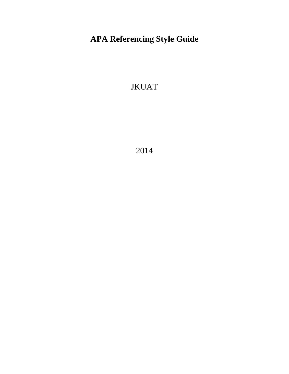# **APA Referencing Style Guide**

JKUAT

2014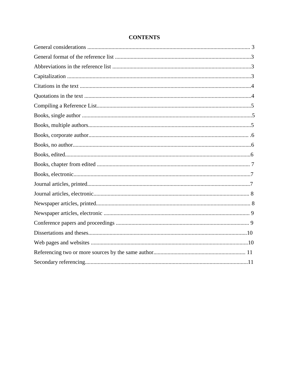# **CONTENTS**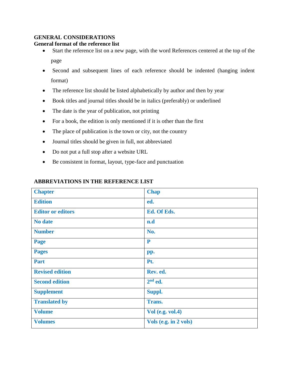#### **GENERAL CONSIDERATIONS**

#### **General format of the reference list**

- Start the reference list on a new page, with the word References centered at the top of the page
- Second and subsequent lines of each reference should be indented (hanging indent format)
- The reference list should be listed alphabetically by author and then by year
- Book titles and journal titles should be in italics (preferably) or underlined
- The date is the year of publication, not printing
- For a book, the edition is only mentioned if it is other than the first
- The place of publication is the town or city, not the country
- Journal titles should be given in full, not abbreviated
- Do not put a full stop after a website URL
- Be consistent in format, layout, type-face and punctuation

| <b>Chapter</b>           | <b>Chap</b>           |
|--------------------------|-----------------------|
| <b>Edition</b>           | ed.                   |
| <b>Editor or editors</b> | Ed. Of Eds.           |
| <b>No date</b>           | n.d                   |
| <b>Number</b>            | No.                   |
| Page                     | P                     |
| <b>Pages</b>             | pp.                   |
| <b>Part</b>              | Pt.                   |
| <b>Revised edition</b>   | Rev. ed.              |
| <b>Second edition</b>    | $2nd$ ed.             |
| <b>Supplement</b>        | Suppl.                |
| <b>Translated by</b>     | Trans.                |
| <b>Volume</b>            | Vol (e.g. vol.4)      |
| <b>Volumes</b>           | Vols (e.g. in 2 vols) |

#### **ABBREVIATIONS IN THE REFERENCE LIST**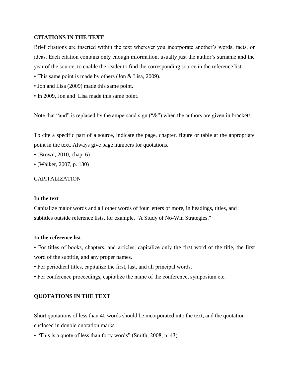#### **CITATIONS IN THE TEXT**

Brief citations are inserted within the text wherever you incorporate another's words, facts, or ideas. Each citation contains only enough information, usually just the author's surname and the year of the source, to enable the reader to find the corresponding source in the reference list.

- This same point is made by others (Jon & Lisa, 2009).
- Jon and Lisa (2009) made this same point.
- In 2009, Jon and Lisa made this same point.

Note that "and" is replaced by the ampersand sign (" $\&$ ") when the authors are given in brackets.

To cite a specific part of a source, indicate the page, chapter, figure or table at the appropriate point in the text. Always give page numbers for quotations.

- (Brown, 2010, chap. 6)
- (Walker, 2007, p. 130)

#### CAPITALIZATION

#### **In the text**

Capitalize major words and all other words of four letters or more, in headings, titles, and subtitles outside reference lists, for example, "A Study of No-Win Strategies."

#### **In the reference list**

• For titles of books, chapters, and articles, capitalize only the first word of the title, the first word of the subtitle, and any proper names.

- For periodical titles, capitalize the first, last, and all principal words.
- For conference proceedings, capitalize the name of the conference, symposium etc.

#### **QUOTATIONS IN THE TEXT**

Short quotations of less than 40 words should be incorporated into the text, and the quotation enclosed in double quotation marks.

• "This is a quote of less than forty words" (Smith, 2008, p. 43)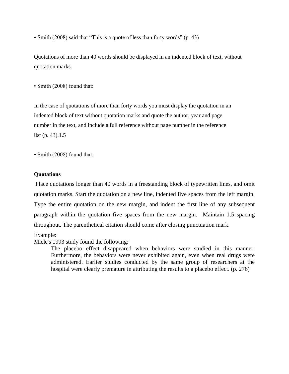• Smith (2008) said that "This is a quote of less than forty words" (p. 43)

Quotations of more than 40 words should be displayed in an indented block of text, without quotation marks.

• Smith (2008) found that:

In the case of quotations of more than forty words you must display the quotation in an indented block of text without quotation marks and quote the author, year and page number in the text, and include a full reference without page number in the reference list (p. 43).1.5

• Smith (2008) found that:

#### **Quotations**

Place quotations longer than 40 words in a freestanding block of typewritten lines, and omit quotation marks. Start the quotation on a new line, indented five spaces from the left margin. Type the entire quotation on the new margin, and indent the first line of any subsequent paragraph within the quotation five spaces from the new margin. Maintain 1.5 spacing throughout. The parenthetical citation should come after closing punctuation mark.

#### Example:

Miele's 1993 study found the following:

The placebo effect disappeared when behaviors were studied in this manner. Furthermore, the behaviors were never exhibited again, even when real drugs were administered. Earlier studies conducted by the same group of researchers at the hospital were clearly premature in attributing the results to a placebo effect. (p. 276)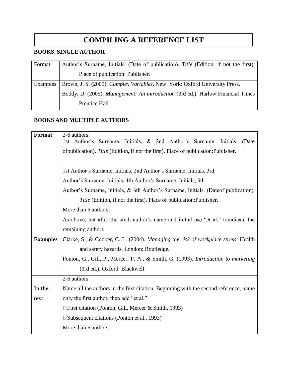# **COMPILING A REFERENCE LIST**

## **BOOKS, SINGLE AUTHOR**

| Format   | Author's Surname, Initials. (Date of publication). Title (Edition, if not the first). |
|----------|---------------------------------------------------------------------------------------|
|          | Place of publication: Publisher.                                                      |
| Examples | Brown, J. S. (2009). Complex Variables. New York: Oxford University Press.            |
|          | Boddy, D. (2005). Management: An introduction (3rd ed.). Harlow: Financial Times      |
|          | Prentice Hall                                                                         |

# **BOOKS AND MULTIPLE AUTHORS**

| 2-6 authors:                                                                          |
|---------------------------------------------------------------------------------------|
| 1st Author's Surname, Initials, & 2nd Author's Surname, Initials.<br>(Date            |
| ofpublication). Title (Edition, if not the first). Place of publication: Publisher.   |
|                                                                                       |
| 1st Author's Surname, Initials, 2nd Author's Surname, Initials, 3rd                   |
| Author's Surname, Initials, 4th Author's Surname, Initials, 5th                       |
| Author's Surname, Initials, & 6th Author's Surname, Initials. (Dateof publication).   |
| <i>Title</i> (Edition, if not the first). Place of publication: Publisher.            |
| More than 6 authors:                                                                  |
| As above, but after the sixth author's name and initial use "et al." to indicate the  |
| remaining authors                                                                     |
| Clarke, S., & Cooper, C. L. (2004). Managing the risk of workplace stress: Health     |
| and safety hazards. London: Routledge.                                                |
| Ponton, G., Gill, P., Mercer, P. A., & Smith, G. (1993). Introduction to marketing    |
| (3rd ed.). Oxford: Blackwell.                                                         |
| 2-6 authors                                                                           |
| Name all the authors in the first citation. Beginning with the second reference, name |
| only the first author, then add "et al."                                              |
| $\Box$ First citation (Ponton, Gill, Mercer & Smith, 1993)                            |
| $\square$ Subsequent citations (Ponton et al., 1993)                                  |
| More than 6 authors                                                                   |
|                                                                                       |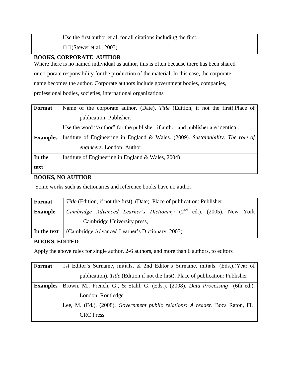Use the first author et al. for all citations including the first.  $\square$  (Stewer et al., 2003)

### **BOOKS, CORPORATE AUTHOR**

Where there is no named individual as author, this is often because there has been shared or corporate responsibility for the production of the material. In this case, the corporate name becomes the author. Corporate authors include government bodies, companies, professional bodies, societies, international organizations

| Format          | Name of the corporate author. (Date). Title (Edition, if not the first). Place of |
|-----------------|-----------------------------------------------------------------------------------|
|                 | publication: Publisher.                                                           |
|                 | Use the word "Author" for the publisher, if author and publisher are identical.   |
| <b>Examples</b> | Institute of Engineering in England & Wales. (2009). Sustainability: The role of  |
|                 | engineers. London: Author.                                                        |
| In the          | Institute of Engineering in England $& Wales, 2004)$                              |
| text            |                                                                                   |

# **BOOKS, NO AUTHOR**

Some works such as dictionaries and reference books have no author.

| Format         | Title (Edition, if not the first). (Date). Place of publication: Publisher |  |                             |                                                                                 |  |  |  |
|----------------|----------------------------------------------------------------------------|--|-----------------------------|---------------------------------------------------------------------------------|--|--|--|
| <b>Example</b> |                                                                            |  |                             | Cambridge Advanced Learner's Dictionary (2 <sup>nd</sup> ed.). (2005). New York |  |  |  |
|                |                                                                            |  | Cambridge University press, |                                                                                 |  |  |  |
| In the text    | (Cambridge Advanced Learner's Dictionary, 2003)                            |  |                             |                                                                                 |  |  |  |
|                |                                                                            |  |                             |                                                                                 |  |  |  |

#### **BOOKS, EDITED**

Apply the above rules for single author, 2-6 authors, and more than 6 authors, to editors

| Format          | 1st Editor's Surname, initials, & 2nd Editor's Surname, initials. (Eds.). (Year of |
|-----------------|------------------------------------------------------------------------------------|
|                 | publication). Title (Edition if not the first). Place of publication: Publisher    |
| <b>Examples</b> | Brown, M., French, G., & Stahl, G. (Eds.). (2008). Data Processing (6th ed.).      |
|                 | London: Routledge.                                                                 |
|                 | Lee, M. (Ed.). (2008). Government public relations: A reader. Boca Raton, FL:      |
|                 | <b>CRC</b> Press                                                                   |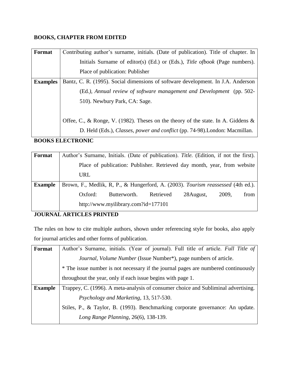# **BOOKS, CHAPTER FROM EDITED**

| Format          | Contributing author's surname, initials. (Date of publication). Title of chapter. In |
|-----------------|--------------------------------------------------------------------------------------|
|                 | Initials Surname of editor(s) (Ed.) or (Eds.), Title ofbook (Page numbers).          |
|                 | Place of publication: Publisher                                                      |
| <b>Examples</b> | Bantz, C. R. (1995). Social dimensions of software development. In J.A. Anderson     |
|                 | (Ed.), Annual review of software management and Development (pp. 502-                |
|                 | 510). Newbury Park, CA: Sage.                                                        |
|                 |                                                                                      |
|                 | Offee, C., & Ronge, V. (1982). Theses on the theory of the state. In A. Giddens &    |
|                 | D. Held (Eds.), Classes, power and conflict (pp. 74-98). London: Macmillan.          |

# **BOOKS ELECTRONIC**

| Format         | Author's Surname, Initials. (Date of publication). Title. (Edition, if not the first). |                                                                          |           |            |       |      |
|----------------|----------------------------------------------------------------------------------------|--------------------------------------------------------------------------|-----------|------------|-------|------|
|                |                                                                                        | Place of publication: Publisher. Retrieved day month, year, from website |           |            |       |      |
|                | URL                                                                                    |                                                                          |           |            |       |      |
| <b>Example</b> | Brown, F., Medlik, R, P., & Hungerford, A. (2003). Tourism reassessed (4th ed.).       |                                                                          |           |            |       |      |
|                | Oxford:                                                                                | Butterworth.                                                             | Retrieved | 28 August, | 2009. | from |
|                |                                                                                        | http://www.myilibrary.com?id=177101                                      |           |            |       |      |

# **JOURNAL ARTICLES PRINTED**

The rules on how to cite multiple authors, shown under referencing style for books, also apply for journal articles and other forms of publication.

| Format         | Author's Surname, initials. (Year of journal). Full title of article. Full Title of |
|----------------|-------------------------------------------------------------------------------------|
|                | Journal, Volume Number (Issue Number*), page numbers of article.                    |
|                | * The issue number is not necessary if the journal pages are numbered continuously  |
|                | throughout the year, only if each issue begins with page 1.                         |
| <b>Example</b> | Trappey, C. (1996). A meta-analysis of consumer choice and Subliminal advertising.  |
|                | <i>Psychology and Marketing, 13, 517-530.</i>                                       |
|                | Stiles, P., & Taylor, B. (1993). Benchmarking corporate governance: An update.      |
|                | Long Range Planning, 26(6), 138-139.                                                |
|                |                                                                                     |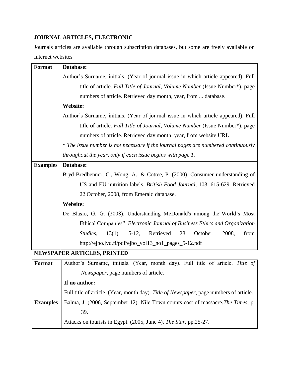# **JOURNAL ARTICLES, ELECTRONIC**

Journals articles are available through subscription databases, but some are freely available on Internet websites

| Format          | Database:                                                                           |
|-----------------|-------------------------------------------------------------------------------------|
|                 |                                                                                     |
|                 | Author's Surname, initials. (Year of journal issue in which article appeared). Full |
|                 | title of article. Full Title of Journal, Volume Number (Issue Number*), page        |
|                 | numbers of article. Retrieved day month, year, from  database.                      |
|                 | <b>Website:</b>                                                                     |
|                 | Author's Surname, initials. (Year of journal issue in which article appeared). Full |
|                 | title of article. Full Title of Journal, Volume Number (Issue Number*), page        |
|                 | numbers of article. Retrieved day month, year, from website URL                     |
|                 | * The issue number is not necessary if the journal pages are numbered continuously  |
|                 | throughout the year, only if each issue begins with page 1.                         |
| <b>Examples</b> | Database:                                                                           |
|                 | Bryd-Bredbenner, C., Wong, A., & Cottee, P. (2000). Consumer understanding of       |
|                 | US and EU nutrition labels. British Food Journal, 103, 615-629. Retrieved           |
|                 | 22 October, 2008, from Emerald database.                                            |
|                 | <b>Website:</b>                                                                     |
|                 | De Blasio, G. G. (2008). Understanding McDonald's among the "World's Most           |
|                 | Ethical Companies". Electronic Journal of Business Ethics and Organization          |
|                 | Retrieved<br>Studies,<br>28<br>October,<br>from<br>$13(1)$ ,<br>$5-12$ ,<br>2008,   |
|                 | http://ejbo.jyu.fi/pdf/ejbo_vol13_no1_pages_5-12.pdf                                |
|                 | <b>NEWSPAPER ARTICLES, PRINTED</b>                                                  |

| Format          | Author's Surname, initials. (Year, month day). Full title of article. Title of         |
|-----------------|----------------------------------------------------------------------------------------|
|                 | <i>Newspaper</i> , page numbers of article.                                            |
|                 | If no author:                                                                          |
|                 | Full title of article. (Year, month day). Title of Newspaper, page numbers of article. |
| <b>Examples</b> | Balma, J. (2006, September 12). Nile Town counts cost of massacre. The Times, p.       |
|                 | 39.                                                                                    |
|                 | Attacks on tourists in Egypt. (2005, June 4). The Star, pp.25-27.                      |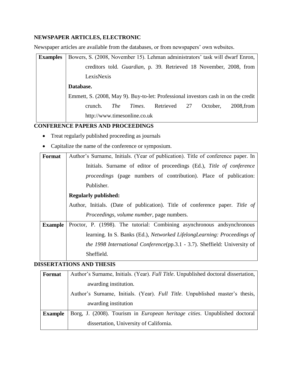# **NEWSPAPER ARTICLES, ELECTRONIC**

Newspaper articles are available from the databases, or from newspapers' own websites.

| <b>Examples</b> | Bowers, S. (2008, November 15). Lehman administrators' task will dwarf Enron,      |  |  |  |  |  |  |  |
|-----------------|------------------------------------------------------------------------------------|--|--|--|--|--|--|--|
|                 | creditors told. Guardian, p. 39. Retrieved 18 November, 2008, from                 |  |  |  |  |  |  |  |
|                 | LexisNexis                                                                         |  |  |  |  |  |  |  |
|                 | Database.                                                                          |  |  |  |  |  |  |  |
|                 | Emmett, S. (2008, May 9). Buy-to-let: Professional investors cash in on the credit |  |  |  |  |  |  |  |
|                 | Retrieved 27<br><i>The</i><br>October.<br>$2008$ , from<br>Times.<br>crunch.       |  |  |  |  |  |  |  |
|                 | http://www.timesonline.co.uk                                                       |  |  |  |  |  |  |  |

# **CONFERENCE PAPERS AND PROCEEDINGS**

- Treat regularly published proceeding as journals
- Capitalize the name of the conference or symposium.

| <b>Format</b>  | Author's Surname, Initials. (Year of publication). Title of conference paper. In  |  |  |  |  |  |  |  |  |
|----------------|-----------------------------------------------------------------------------------|--|--|--|--|--|--|--|--|
|                | Initials. Surname of editor of proceedings (Ed.), Title of conference             |  |  |  |  |  |  |  |  |
|                | <i>proceedings</i> (page numbers of contribution). Place of publication:          |  |  |  |  |  |  |  |  |
|                | Publisher.                                                                        |  |  |  |  |  |  |  |  |
|                | <b>Regularly published:</b>                                                       |  |  |  |  |  |  |  |  |
|                | Author, Initials. (Date of publication). Title of conference paper. Title of      |  |  |  |  |  |  |  |  |
|                | <i>Proceedings, volume number, page numbers.</i>                                  |  |  |  |  |  |  |  |  |
| <b>Example</b> | Proctor, P. (1998). The tutorial: Combining asynchronous and synchronous          |  |  |  |  |  |  |  |  |
|                | learning. In S. Banks (Ed.), Networked LifelongLearning: Proceedings of           |  |  |  |  |  |  |  |  |
|                | <i>the 1998 International Conference</i> (pp.3.1 - 3.7). Sheffield: University of |  |  |  |  |  |  |  |  |
|                | Sheffield.                                                                        |  |  |  |  |  |  |  |  |

# **DISSERTATIONS AND THESIS**

| Format         | Author's Surname, Initials. (Year). Full Title. Unpublished doctoral dissertation, |  |  |  |  |  |  |  |  |
|----------------|------------------------------------------------------------------------------------|--|--|--|--|--|--|--|--|
|                | awarding institution.                                                              |  |  |  |  |  |  |  |  |
|                | Author's Surname, Initials. (Year). Full Title. Unpublished master's thesis,       |  |  |  |  |  |  |  |  |
|                | awarding institution                                                               |  |  |  |  |  |  |  |  |
| <b>Example</b> | Borg, J. (2008). Tourism in <i>European heritage cities</i> . Unpublished doctoral |  |  |  |  |  |  |  |  |
|                | dissertation, University of California.                                            |  |  |  |  |  |  |  |  |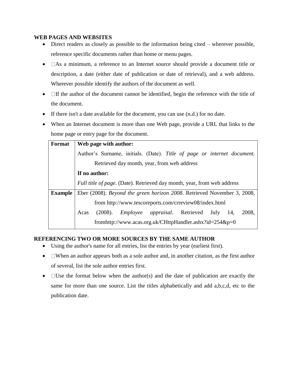#### **WEB PAGES AND WEBSITES**

- Direct readers as closely as possible to the information being cited wherever possible, reference specific documents rather than home or menu pages.
- $\bullet$   $\Box$  As a minimum, a reference to an Internet source should provide a document title or description, a date (either date of publication or date of retrieval), and a web address. Wherever possible identify the authors of the document as well.
- $\bullet$  If the author of the document cannot be identified, begin the reference with the title of the document.
- If there isn't a date available for the document, you can use (n.d.) for no date.
- When an Internet document is more than one Web page, provide a URL that links to the home page or entry page for the document.

| Format         | Web page with author:                                                          |  |  |  |  |  |  |  |  |  |
|----------------|--------------------------------------------------------------------------------|--|--|--|--|--|--|--|--|--|
|                | Author's Surname, initials. (Date). Title of page or internet document.        |  |  |  |  |  |  |  |  |  |
|                | Retrieved day month, year, from web address                                    |  |  |  |  |  |  |  |  |  |
|                | If no author:                                                                  |  |  |  |  |  |  |  |  |  |
|                | <i>Full title of page.</i> (Date). Retrieved day month, year, from web address |  |  |  |  |  |  |  |  |  |
| <b>Example</b> | Eber (2008). Beyond the green horizon 2008. Retrieved November 3, 2008,        |  |  |  |  |  |  |  |  |  |
|                | from http://www.tescoreports.com/crreview08/index.html                         |  |  |  |  |  |  |  |  |  |
|                | (2008). <i>Employee appraisal</i> . Retrieved July 14,<br>2008.<br>Acas        |  |  |  |  |  |  |  |  |  |
|                | from http://www.acas.org.uk/CHttpHandler.ashx?id=254&p=0                       |  |  |  |  |  |  |  |  |  |

### **REFERENCING TWO OR MORE SOURCES BY THE SAME AUTHOR**

- Using the author's name for all entries, list the entries by year (earliest first).
- $\bullet$   $\Box$  When an author appears both as a sole author and, in another citation, as the first author of several, list the sole author entries first.
- $\bullet$   $\square$  Use the format below when the author(s) and the date of publication are exactly the same for more than one source. List the titles alphabetically and add a,b,c,d, etc to the publication date.